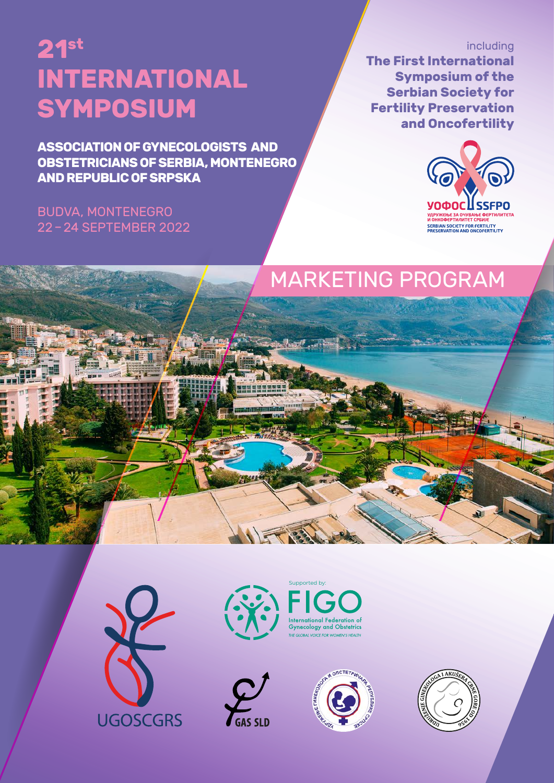**ASSOCIATION OF GYNECOLOGISTS AND OBSTETRICIANS OF SERBIA, MONTENEGRO AND REPUBLIC OF SRPSKA**

# BUDVA, MONTENEGRO 22 – 24 SEPTEMBER 2022

including **The First International Symposium of the Serbian Society for Fertility Preservation and Oncofertility**



# MARKETING PROGRAM









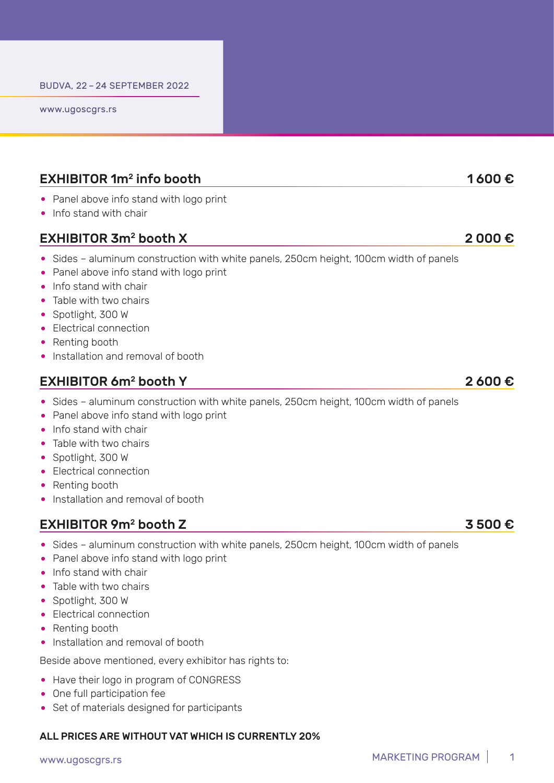www.ugoscgrs.rs

# EXHIBITOR 1 $m^2$  info booth 1 600  $\epsilon$

- Panel above info stand with logo print
- Info stand with chair

# EXHIBITOR 3m<sup>2</sup> booth X  $2000 \in$

- Sides aluminum construction with white panels, 250cm height, 100cm width of panels
- Panel above info stand with logo print
- Info stand with chair
- Table with two chairs
- Spotlight, 300 W
- Electrical connection
- Renting booth
- Installation and removal of booth

# EXHIBITOR 6 $m^2$  booth Y 2 600  $\epsilon$

- Sides aluminum construction with white panels, 250cm height, 100cm width of panels
- Panel above info stand with logo print
- Info stand with chair
- Table with two chairs
- Spotlight, 300 W
- Electrical connection
- Renting booth
- Installation and removal of booth

# EXHIBITOR 9 $m^2$  booth Z 3 500  $\epsilon$

- Sides aluminum construction with white panels, 250cm height, 100cm width of panels
- Panel above info stand with logo print
- Info stand with chair
- Table with two chairs
- Spotlight, 300 W
- Electrical connection
- Renting booth
- Installation and removal of booth

Beside above mentioned, every exhibitor has rights to:

- Have their logo in program of CONGRESS
- One full participation fee
- Set of materials designed for participants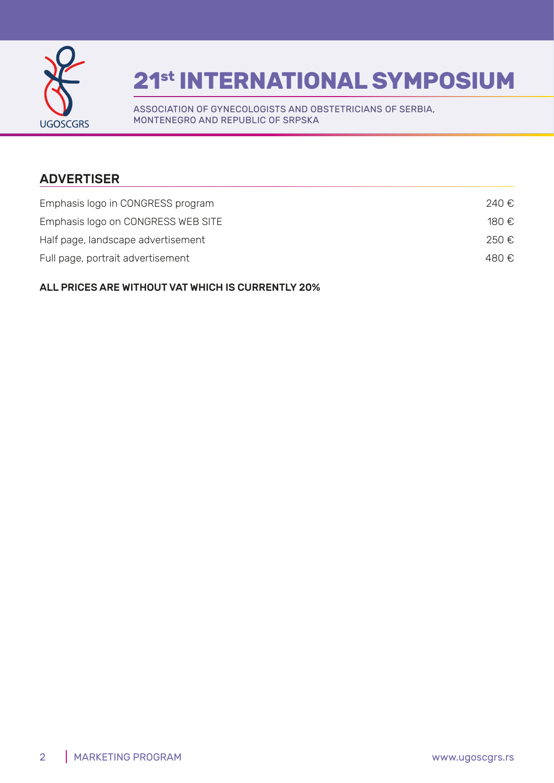

ASSOCIATION OF GYNECOLOGISTS AND OBSTETRICIANS OF SERBIA, MONTENEGRO AND REPUBLIC OF SRPSKA

# ADVERTISER

| Emphasis logo in CONGRESS program  | 240 €. |
|------------------------------------|--------|
| Emphasis logo on CONGRESS WEB SITE | 180 €  |
| Half page, landscape advertisement | 250 €. |
| Full page, portrait advertisement  | 480 €. |
|                                    |        |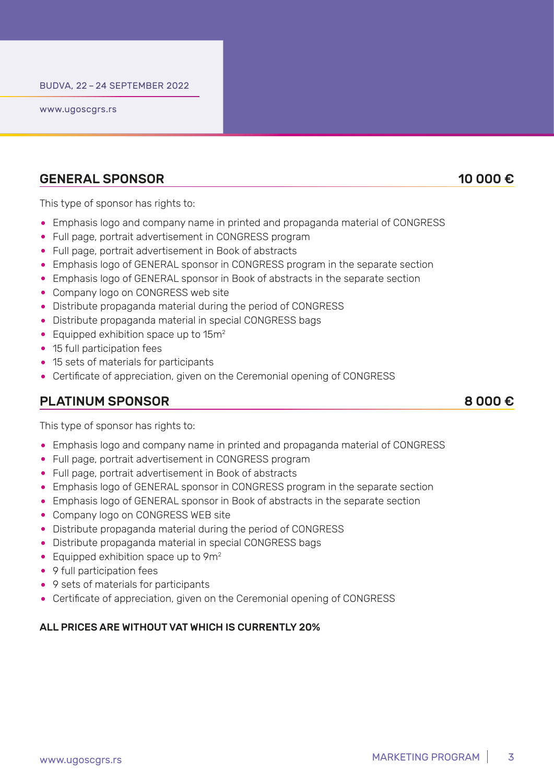www.ugoscgrs.rs

#### GENERAL SPONSOR  $\qquad \qquad$  10 000 €

This type of sponsor has rights to:

- Emphasis logo and company name in printed and propaganda material of CONGRESS
- Full page, portrait advertisement in CONGRESS program
- Full page, portrait advertisement in Book of abstracts
- Emphasis logo of GENERAL sponsor in CONGRESS program in the separate section
- Emphasis logo of GENERAL sponsor in Book of abstracts in the separate section
- Company logo on CONGRESS web site
- Distribute propaganda material during the period of CONGRESS
- Distribute propaganda material in special CONGRESS bags
- Equipped exhibition space up to 15m<sup>2</sup>
- 15 full participation fees
- 15 sets of materials for participants
- Certificate of appreciation, given on the Ceremonial opening of CONGRESS

## PLATINUM SPONSOR 8 000 €

This type of sponsor has rights to:

- Emphasis logo and company name in printed and propaganda material of CONGRESS
- Full page, portrait advertisement in CONGRESS program
- Full page, portrait advertisement in Book of abstracts
- Emphasis logo of GENERAL sponsor in CONGRESS program in the separate section
- Emphasis logo of GENERAL sponsor in Book of abstracts in the separate section
- Company logo on CONGRESS WEB site
- Distribute propaganda material during the period of CONGRESS
- Distribute propaganda material in special CONGRESS bags
- Equipped exhibition space up to 9m<sup>2</sup>
- 9 full participation fees
- 9 sets of materials for participants
- Certificate of appreciation, given on the Ceremonial opening of CONGRESS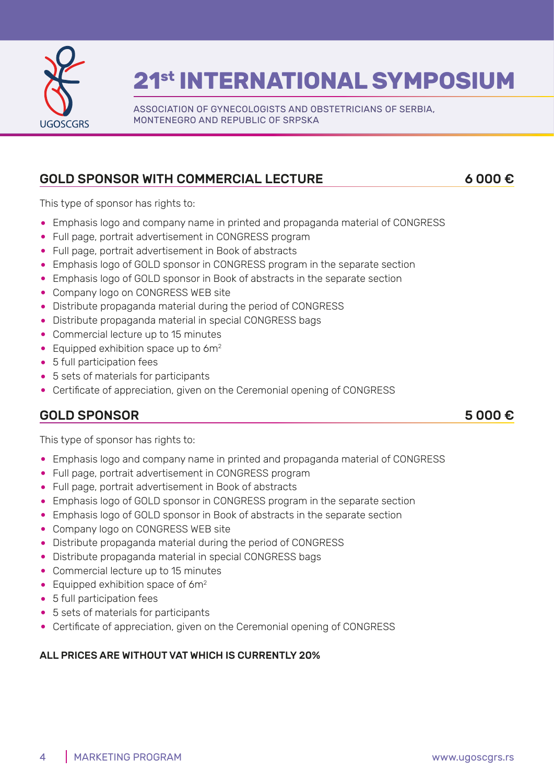

ASSOCIATION OF GYNECOLOGISTS AND OBSTETRICIANS OF SERBIA, MONTENEGRO AND REPUBLIC OF SRPSKA

# GOLD SPONSOR WITH COMMERCIAL LECTURE 6 000 €

This type of sponsor has rights to:

- Emphasis logo and company name in printed and propaganda material of CONGRESS
- Full page, portrait advertisement in CONGRESS program
- Full page, portrait advertisement in Book of abstracts
- Emphasis logo of GOLD sponsor in CONGRESS program in the separate section
- Emphasis logo of GOLD sponsor in Book of abstracts in the separate section
- Company logo on CONGRESS WEB site
- Distribute propaganda material during the period of CONGRESS
- Distribute propaganda material in special CONGRESS bags
- Commercial lecture up to 15 minutes
- Equipped exhibition space up to 6m<sup>2</sup>
- 5 full participation fees
- 5 sets of materials for participants
- Certificate of appreciation, given on the Ceremonial opening of CONGRESS

# GOLD SPONSOR  $5\,000\, \epsilon$

This type of sponsor has rights to:

- Emphasis logo and company name in printed and propaganda material of CONGRESS
- Full page, portrait advertisement in CONGRESS program
- Full page, portrait advertisement in Book of abstracts
- Emphasis logo of GOLD sponsor in CONGRESS program in the separate section
- Emphasis logo of GOLD sponsor in Book of abstracts in the separate section
- Company logo on CONGRESS WEB site
- Distribute propaganda material during the period of CONGRESS
- Distribute propaganda material in special CONGRESS bags
- Commercial lecture up to 15 minutes
- Equipped exhibition space of  $6m^2$
- 5 full participation fees
- 5 sets of materials for participants
- Certificate of appreciation, given on the Ceremonial opening of CONGRESS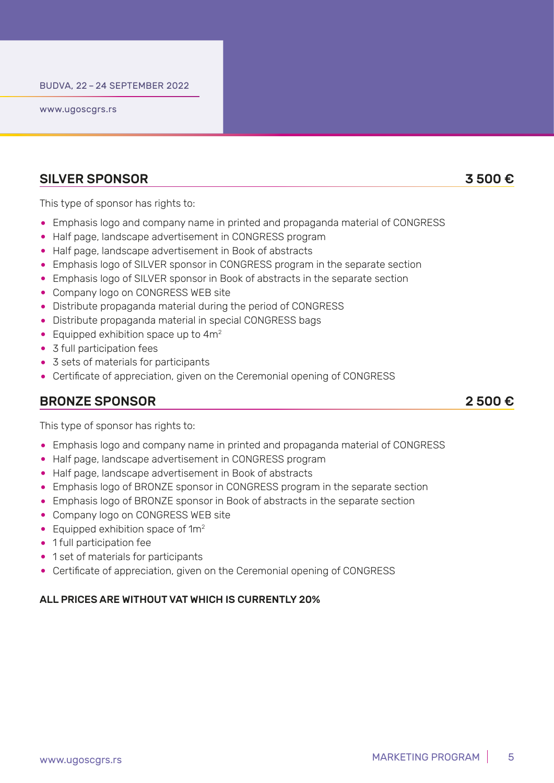www.ugoscgrs.rs

#### SILVER SPONSOR 3 500 €

This type of sponsor has rights to:

- Emphasis logo and company name in printed and propaganda material of CONGRESS
- Half page, landscape advertisement in CONGRESS program
- Half page, landscape advertisement in Book of abstracts
- Emphasis logo of SILVER sponsor in CONGRESS program in the separate section
- Emphasis logo of SILVER sponsor in Book of abstracts in the separate section
- Company logo on CONGRESS WEB site
- Distribute propaganda material during the period of CONGRESS
- Distribute propaganda material in special CONGRESS bags
- Equipped exhibition space up to 4m<sup>2</sup>
- 3 full participation fees
- 3 sets of materials for participants
- Certificate of appreciation, given on the Ceremonial opening of CONGRESS

## BRONZE SPONSOR 2 500 €

This type of sponsor has rights to:

- Emphasis logo and company name in printed and propaganda material of CONGRESS
- Half page, landscape advertisement in CONGRESS program
- Half page, landscape advertisement in Book of abstracts
- Emphasis logo of BRONZE sponsor in CONGRESS program in the separate section
- Emphasis logo of BRONZE sponsor in Book of abstracts in the separate section
- Company logo on CONGRESS WEB site
- Equipped exhibition space of  $1m<sup>2</sup>$
- 1 full participation fee
- 1 set of materials for participants
- Certificate of appreciation, given on the Ceremonial opening of CONGRESS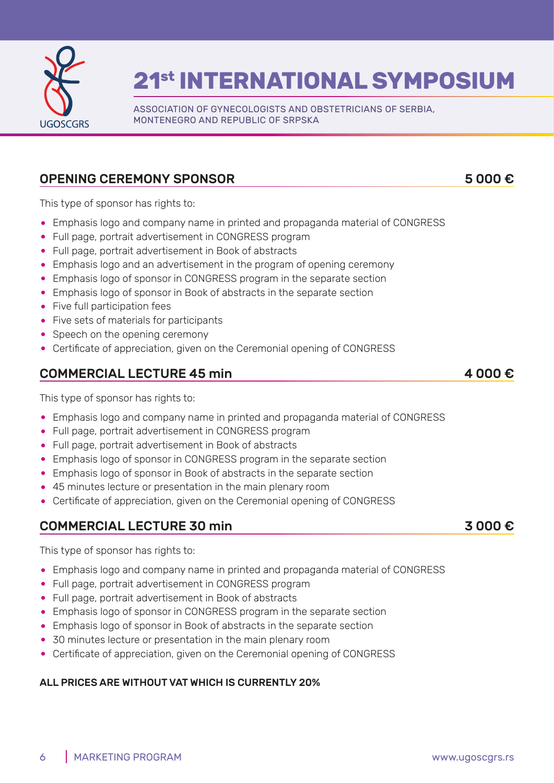

ASSOCIATION OF GYNECOLOGISTS AND OBSTETRICIANS OF SERBIA, MONTENEGRO AND REPUBLIC OF SRPSKA

# OPENING CEREMONY SPONSOR 5 000 €

This type of sponsor has rights to:

- Emphasis logo and company name in printed and propaganda material of CONGRESS
- Full page, portrait advertisement in CONGRESS program
- Full page, portrait advertisement in Book of abstracts
- Emphasis logo and an advertisement in the program of opening ceremony
- Emphasis logo of sponsor in CONGRESS program in the separate section
- Emphasis logo of sponsor in Book of abstracts in the separate section
- Five full participation fees
- Five sets of materials for participants
- Speech on the opening ceremony
- Certificate of appreciation, given on the Ceremonial opening of CONGRESS

# COMMERCIAL LECTURE 45 min  $\blacksquare$  4 000 €

This type of sponsor has rights to:

- Emphasis logo and company name in printed and propaganda material of CONGRESS
- Full page, portrait advertisement in CONGRESS program
- Full page, portrait advertisement in Book of abstracts
- Emphasis logo of sponsor in CONGRESS program in the separate section
- Emphasis logo of sponsor in Book of abstracts in the separate section
- 45 minutes lecture or presentation in the main plenary room
- Certificate of appreciation, given on the Ceremonial opening of CONGRESS

## COMMERCIAL LECTURE 30 min 3 000 €

This type of sponsor has rights to:

- Emphasis logo and company name in printed and propaganda material of CONGRESS
- Full page, portrait advertisement in CONGRESS program
- Full page, portrait advertisement in Book of abstracts
- Emphasis logo of sponsor in CONGRESS program in the separate section
- Emphasis logo of sponsor in Book of abstracts in the separate section
- 30 minutes lecture or presentation in the main plenary room
- Certificate of appreciation, given on the Ceremonial opening of CONGRESS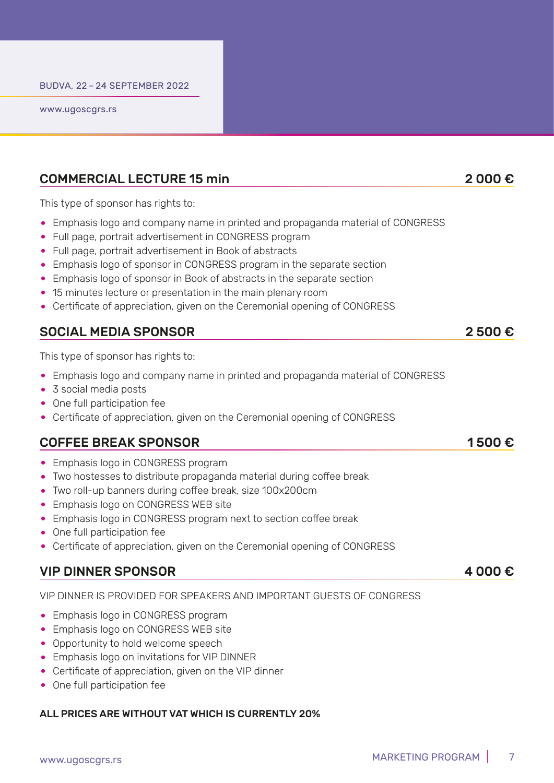### COMMERCIAL LECTURE 15 min 2 000 €

This type of sponsor has rights to:

- Emphasis logo and company name in printed and propaganda material of CONGRESS
- Full page, portrait advertisement in CONGRESS program
- Full page, portrait advertisement in Book of abstracts
- Emphasis logo of sponsor in CONGRESS program in the separate section
- Emphasis logo of sponsor in Book of abstracts in the separate section
- 15 minutes lecture or presentation in the main plenary room
- Certificate of appreciation, given on the Ceremonial opening of CONGRESS

### SOCIAL MEDIA SPONSOR 2 500 €

This type of sponsor has rights to:

- Emphasis logo and company name in printed and propaganda material of CONGRESS
- 3 social media posts
- One full participation fee
- Certificate of appreciation, given on the Ceremonial opening of CONGRESS

#### COFFEE BREAK SPONSOR 1500 €

- Emphasis logo in CONGRESS program
- Two hostesses to distribute propaganda material during coffee break
- Two roll-up banners during coffee break, size 100x200cm
- Emphasis logo on CONGRESS WEB site
- Emphasis logo in CONGRESS program next to section coffee break
- One full participation fee
- Certificate of appreciation, given on the Ceremonial opening of CONGRESS

### VIP DINNER SPONSOR  $\bullet$  4 000 €

VIP DINNER IS PROVIDED FOR SPEAKERS AND IMPORTANT GUESTS OF CONGRESS

- Emphasis logo in CONGRESS program
- Emphasis logo on CONGRESS WEB site
- Opportunity to hold welcome speech
- Emphasis logo on invitations for VIP DINNER
- Certificate of appreciation, given on the VIP dinner
- One full participation fee